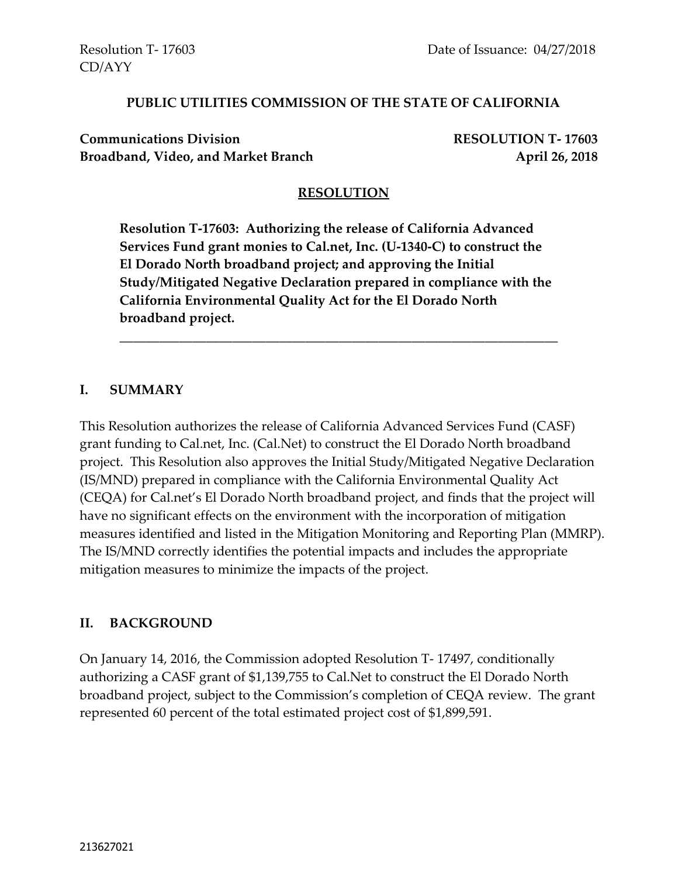CD/AYY

#### **PUBLIC UTILITIES COMMISSION OF THE STATE OF CALIFORNIA**

**Communications Division RESOLUTION T- 17603** Broadband, Video, and Market Branch **April 26, 2018** 

### **RESOLUTION**

**Resolution T-17603: Authorizing the release of California Advanced Services Fund grant monies to Cal.net, Inc. (U-1340-C) to construct the El Dorado North broadband project; and approving the Initial Study/Mitigated Negative Declaration prepared in compliance with the California Environmental Quality Act for the El Dorado North broadband project.**

\_\_\_\_\_\_\_\_\_\_\_\_\_\_\_\_\_\_\_\_\_\_\_\_\_\_\_\_\_\_\_\_\_\_\_\_\_\_\_\_\_\_\_\_\_\_\_\_\_\_\_\_\_\_\_\_\_\_\_\_\_\_\_\_\_\_

#### **I. SUMMARY**

This Resolution authorizes the release of California Advanced Services Fund (CASF) grant funding to Cal.net, Inc. (Cal.Net) to construct the El Dorado North broadband project. This Resolution also approves the Initial Study/Mitigated Negative Declaration (IS/MND) prepared in compliance with the California Environmental Quality Act (CEQA) for Cal.net's El Dorado North broadband project, and finds that the project will have no significant effects on the environment with the incorporation of mitigation measures identified and listed in the Mitigation Monitoring and Reporting Plan (MMRP). The IS/MND correctly identifies the potential impacts and includes the appropriate mitigation measures to minimize the impacts of the project.

### **II. BACKGROUND**

On January 14, 2016, the Commission adopted Resolution T- 17497, conditionally authorizing a CASF grant of \$1,139,755 to Cal.Net to construct the El Dorado North broadband project, subject to the Commission's completion of CEQA review. The grant represented 60 percent of the total estimated project cost of \$1,899,591.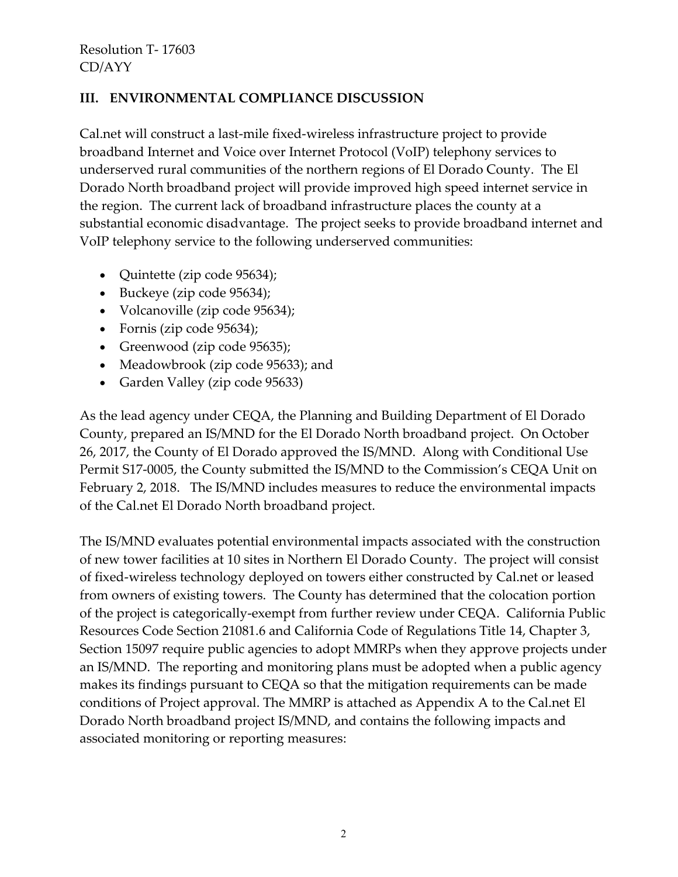## **III. ENVIRONMENTAL COMPLIANCE DISCUSSION**

Cal.net will construct a last-mile fixed-wireless infrastructure project to provide broadband Internet and Voice over Internet Protocol (VoIP) telephony services to underserved rural communities of the northern regions of El Dorado County. The El Dorado North broadband project will provide improved high speed internet service in the region. The current lack of broadband infrastructure places the county at a substantial economic disadvantage. The project seeks to provide broadband internet and VoIP telephony service to the following underserved communities:

- Quintette (zip code 95634);
- Buckeye (zip code 95634);
- Volcanoville (zip code 95634);
- Fornis (zip code 95634);
- Greenwood (zip code 95635);
- Meadowbrook (zip code 95633); and
- Garden Valley (zip code 95633)

As the lead agency under CEQA, the Planning and Building Department of El Dorado County, prepared an IS/MND for the El Dorado North broadband project. On October 26, 2017, the County of El Dorado approved the IS/MND. Along with Conditional Use Permit S17-0005, the County submitted the IS/MND to the Commission's CEQA Unit on February 2, 2018. The IS/MND includes measures to reduce the environmental impacts of the Cal.net El Dorado North broadband project.

The IS/MND evaluates potential environmental impacts associated with the construction of new tower facilities at 10 sites in Northern El Dorado County. The project will consist of fixed-wireless technology deployed on towers either constructed by Cal.net or leased from owners of existing towers. The County has determined that the colocation portion of the project is categorically-exempt from further review under CEQA. California Public Resources Code Section 21081.6 and California Code of Regulations Title 14, Chapter 3, Section 15097 require public agencies to adopt MMRPs when they approve projects under an IS/MND. The reporting and monitoring plans must be adopted when a public agency makes its findings pursuant to CEQA so that the mitigation requirements can be made conditions of Project approval. The MMRP is attached as Appendix A to the Cal.net El Dorado North broadband project IS/MND, and contains the following impacts and associated monitoring or reporting measures: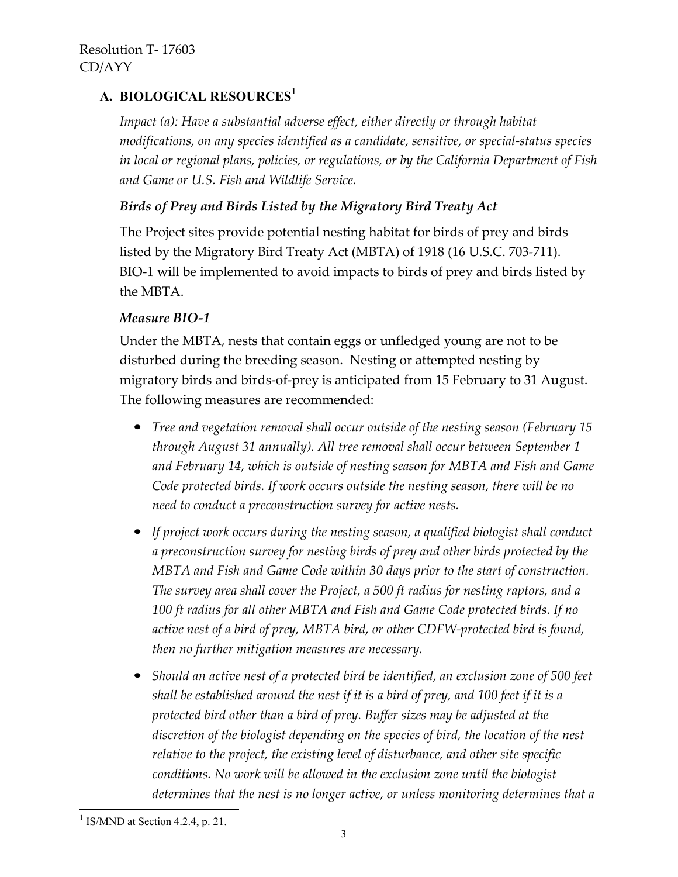# **A. BIOLOGICAL RESOURCES 1**

*Impact (a): Have a substantial adverse effect, either directly or through habitat modifications, on any species identified as a candidate, sensitive, or special-status species in local or regional plans, policies, or regulations, or by the California Department of Fish and Game or U.S. Fish and Wildlife Service.*

## *Birds of Prey and Birds Listed by the Migratory Bird Treaty Act*

The Project sites provide potential nesting habitat for birds of prey and birds listed by the Migratory Bird Treaty Act (MBTA) of 1918 (16 U.S.C. 703-711). BIO-1 will be implemented to avoid impacts to birds of prey and birds listed by the MBTA.

### *Measure BIO-1*

Under the MBTA, nests that contain eggs or unfledged young are not to be disturbed during the breeding season. Nesting or attempted nesting by migratory birds and birds-of-prey is anticipated from 15 February to 31 August. The following measures are recommended:

- *Tree and vegetation removal shall occur outside of the nesting season (February 15 through August 31 annually). All tree removal shall occur between September 1 and February 14, which is outside of nesting season for MBTA and Fish and Game Code protected birds. If work occurs outside the nesting season, there will be no need to conduct a preconstruction survey for active nests.*
- *If project work occurs during the nesting season, a qualified biologist shall conduct a preconstruction survey for nesting birds of prey and other birds protected by the MBTA and Fish and Game Code within 30 days prior to the start of construction. The survey area shall cover the Project, a 500 ft radius for nesting raptors, and a 100 ft radius for all other MBTA and Fish and Game Code protected birds. If no active nest of a bird of prey, MBTA bird, or other CDFW-protected bird is found, then no further mitigation measures are necessary.*
- *Should an active nest of a protected bird be identified, an exclusion zone of 500 feet shall be established around the nest if it is a bird of prey, and 100 feet if it is a protected bird other than a bird of prey. Buffer sizes may be adjusted at the discretion of the biologist depending on the species of bird, the location of the nest relative to the project, the existing level of disturbance, and other site specific conditions. No work will be allowed in the exclusion zone until the biologist determines that the nest is no longer active, or unless monitoring determines that a*

 $\overline{\phantom{a}}$ 

 $<sup>1</sup>$  IS/MND at Section 4.2.4, p. 21.</sup>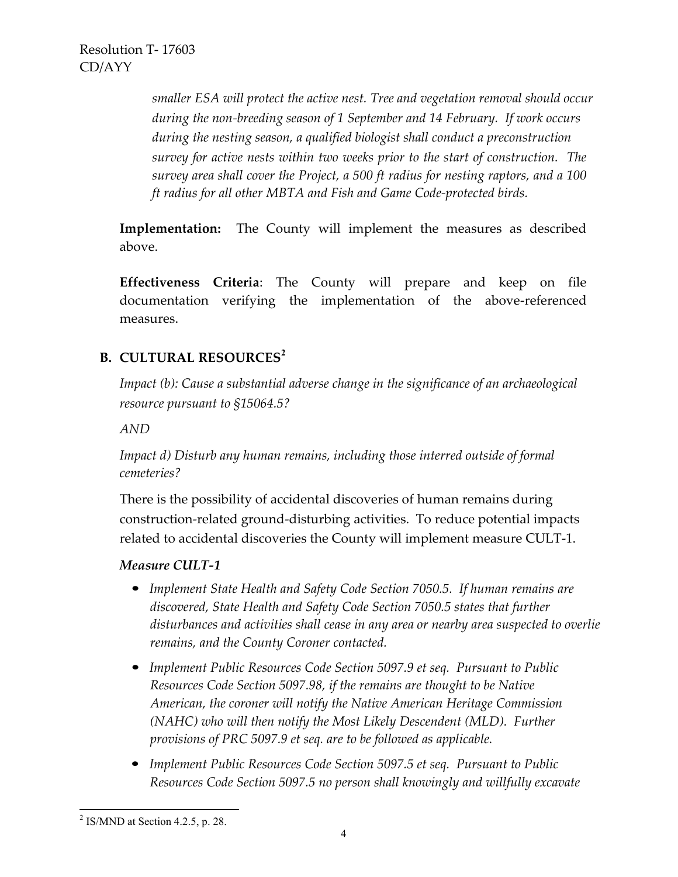*smaller ESA will protect the active nest. Tree and vegetation removal should occur during the non-breeding season of 1 September and 14 February. If work occurs during the nesting season, a qualified biologist shall conduct a preconstruction survey for active nests within two weeks prior to the start of construction. The survey area shall cover the Project, a 500 ft radius for nesting raptors, and a 100 ft radius for all other MBTA and Fish and Game Code-protected birds.*

**Implementation:** The County will implement the measures as described above.

**Effectiveness Criteria**: The County will prepare and keep on file documentation verifying the implementation of the above-referenced measures.

## **B. CULTURAL RESOURCES<sup>2</sup>**

*Impact (b): Cause a substantial adverse change in the significance of an archaeological resource pursuant to §15064.5?*

*AND*

*Impact d) Disturb any human remains, including those interred outside of formal cemeteries?*

There is the possibility of accidental discoveries of human remains during construction-related ground-disturbing activities. To reduce potential impacts related to accidental discoveries the County will implement measure CULT-1.

### *Measure CULT-1*

- *Implement State Health and Safety Code Section 7050.5. If human remains are discovered, State Health and Safety Code Section 7050.5 states that further disturbances and activities shall cease in any area or nearby area suspected to overlie remains, and the County Coroner contacted.*
- *Implement Public Resources Code Section 5097.9 et seq. Pursuant to Public Resources Code Section 5097.98, if the remains are thought to be Native American, the coroner will notify the Native American Heritage Commission (NAHC) who will then notify the Most Likely Descendent (MLD). Further provisions of PRC 5097.9 et seq. are to be followed as applicable.*
- *Implement Public Resources Code Section 5097.5 et seq. Pursuant to Public Resources Code Section 5097.5 no person shall knowingly and willfully excavate*

 $^{2}$  IS/MND at Section 4.2.5, p. 28.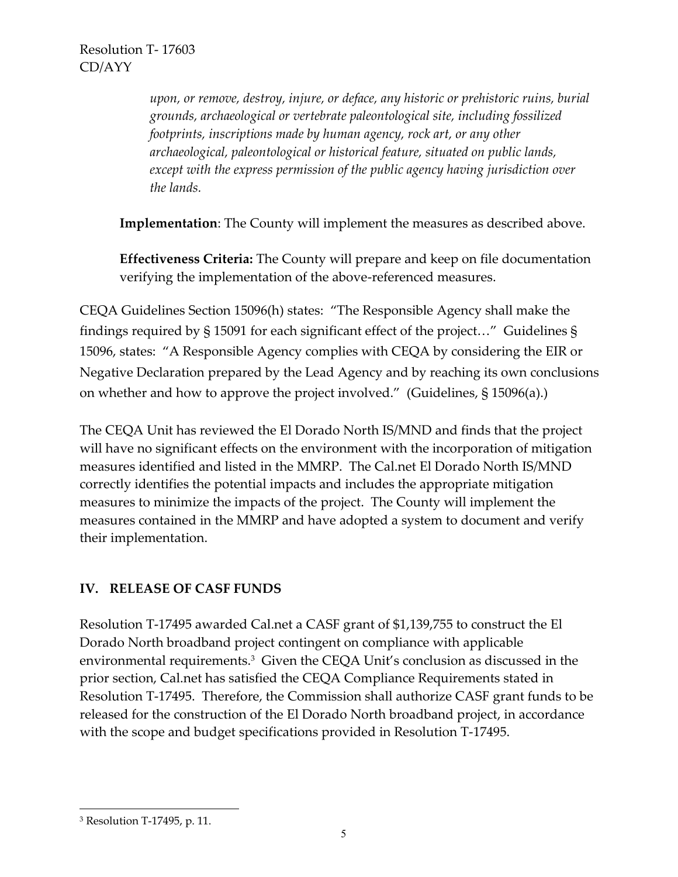*upon, or remove, destroy, injure, or deface, any historic or prehistoric ruins, burial grounds, archaeological or vertebrate paleontological site, including fossilized footprints, inscriptions made by human agency, rock art, or any other archaeological, paleontological or historical feature, situated on public lands, except with the express permission of the public agency having jurisdiction over the lands.*

**Implementation**: The County will implement the measures as described above.

**Effectiveness Criteria:** The County will prepare and keep on file documentation verifying the implementation of the above-referenced measures.

CEQA Guidelines Section 15096(h) states: "The Responsible Agency shall make the findings required by § 15091 for each significant effect of the project…" Guidelines § 15096, states: "A Responsible Agency complies with CEQA by considering the EIR or Negative Declaration prepared by the Lead Agency and by reaching its own conclusions on whether and how to approve the project involved." (Guidelines, § 15096(a).)

The CEQA Unit has reviewed the El Dorado North IS/MND and finds that the project will have no significant effects on the environment with the incorporation of mitigation measures identified and listed in the MMRP. The Cal.net El Dorado North IS/MND correctly identifies the potential impacts and includes the appropriate mitigation measures to minimize the impacts of the project. The County will implement the measures contained in the MMRP and have adopted a system to document and verify their implementation.

# **IV. RELEASE OF CASF FUNDS**

Resolution T-17495 awarded Cal.net a CASF grant of \$1,139,755 to construct the El Dorado North broadband project contingent on compliance with applicable environmental requirements.<sup>3</sup> Given the CEQA Unit's conclusion as discussed in the prior section, Cal.net has satisfied the CEQA Compliance Requirements stated in Resolution T-17495. Therefore, the Commission shall authorize CASF grant funds to be released for the construction of the El Dorado North broadband project, in accordance with the scope and budget specifications provided in Resolution T-17495.

 $\overline{a}$ 

<sup>3</sup> Resolution T-17495, p. 11.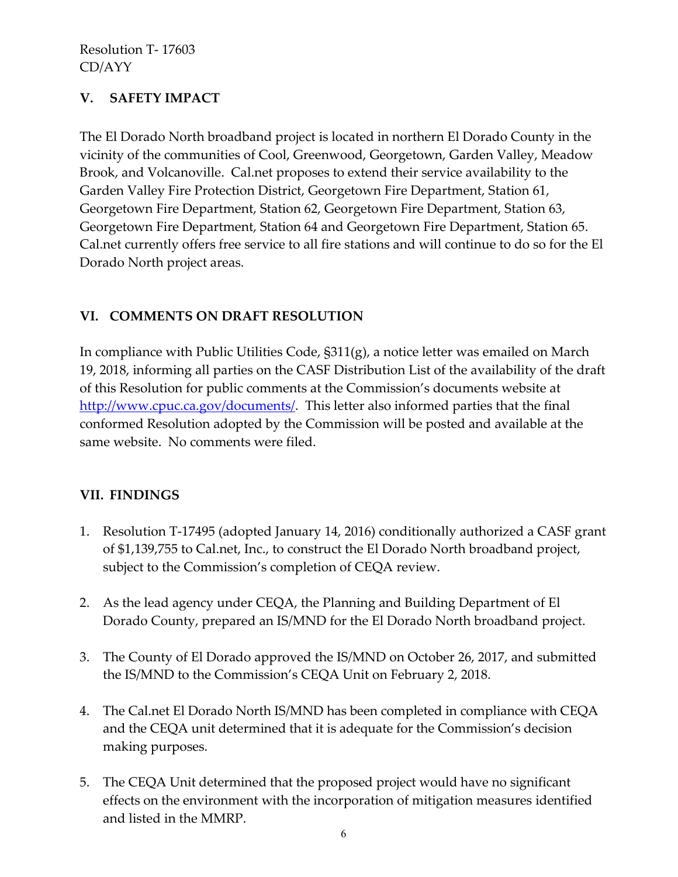# **V. SAFETY IMPACT**

The El Dorado North broadband project is located in northern El Dorado County in the vicinity of the communities of Cool, Greenwood, Georgetown, Garden Valley, Meadow Brook, and Volcanoville. Cal.net proposes to extend their service availability to the Garden Valley Fire Protection District, Georgetown Fire Department, Station 61, Georgetown Fire Department, Station 62, Georgetown Fire Department, Station 63, Georgetown Fire Department, Station 64 and Georgetown Fire Department, Station 65. Cal.net currently offers free service to all fire stations and will continue to do so for the El Dorado North project areas.

# **VI. COMMENTS ON DRAFT RESOLUTION**

In compliance with Public Utilities Code, §311(g), a notice letter was emailed on March 19, 2018, informing all parties on the CASF Distribution List of the availability of the draft of this Resolution for public comments at the Commission's documents website at [http://www.cpuc.ca.gov/documents/.](http://www.cpuc.ca.gov/documents/) This letter also informed parties that the final conformed Resolution adopted by the Commission will be posted and available at the same website. No comments were filed.

### **VII. FINDINGS**

- 1. Resolution T-17495 (adopted January 14, 2016) conditionally authorized a CASF grant of \$1,139,755 to Cal.net, Inc., to construct the El Dorado North broadband project, subject to the Commission's completion of CEQA review.
- 2. As the lead agency under CEQA, the Planning and Building Department of El Dorado County, prepared an IS/MND for the El Dorado North broadband project.
- 3. The County of El Dorado approved the IS/MND on October 26, 2017, and submitted the IS/MND to the Commission's CEQA Unit on February 2, 2018.
- 4. The Cal.net El Dorado North IS/MND has been completed in compliance with CEQA and the CEQA unit determined that it is adequate for the Commission's decision making purposes.
- 5. The CEQA Unit determined that the proposed project would have no significant effects on the environment with the incorporation of mitigation measures identified and listed in the MMRP.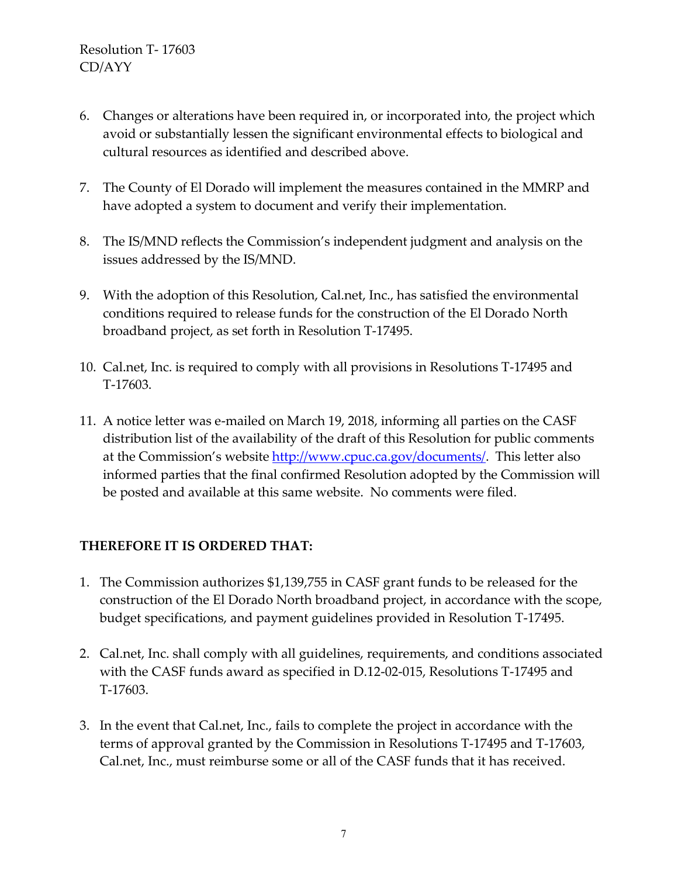- 6. Changes or alterations have been required in, or incorporated into, the project which avoid or substantially lessen the significant environmental effects to biological and cultural resources as identified and described above.
- 7. The County of El Dorado will implement the measures contained in the MMRP and have adopted a system to document and verify their implementation.
- 8. The IS/MND reflects the Commission's independent judgment and analysis on the issues addressed by the IS/MND.
- 9. With the adoption of this Resolution, Cal.net, Inc., has satisfied the environmental conditions required to release funds for the construction of the El Dorado North broadband project, as set forth in Resolution T-17495.
- 10. Cal.net, Inc. is required to comply with all provisions in Resolutions T-17495 and T-17603.
- 11. A notice letter was e-mailed on March 19, 2018, informing all parties on the CASF distribution list of the availability of the draft of this Resolution for public comments at the Commission's website [http://www.cpuc.ca.gov/documents/.](http://www.cpuc.ca.gov/documents/) This letter also informed parties that the final confirmed Resolution adopted by the Commission will be posted and available at this same website. No comments were filed.

### **THEREFORE IT IS ORDERED THAT:**

- 1. The Commission authorizes \$1,139,755 in CASF grant funds to be released for the construction of the El Dorado North broadband project, in accordance with the scope, budget specifications, and payment guidelines provided in Resolution T-17495.
- 2. Cal.net, Inc. shall comply with all guidelines, requirements, and conditions associated with the CASF funds award as specified in D.12-02-015, Resolutions T-17495 and T-17603.
- 3. In the event that Cal.net, Inc., fails to complete the project in accordance with the terms of approval granted by the Commission in Resolutions T-17495 and T-17603, Cal.net, Inc., must reimburse some or all of the CASF funds that it has received.